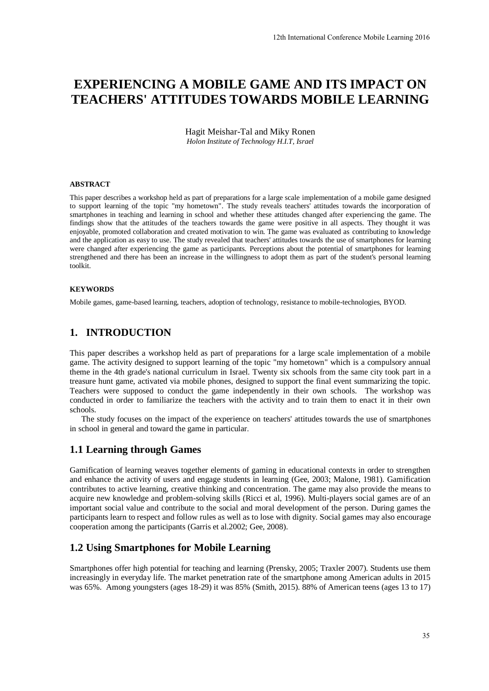# **EXPERIENCING A MOBILE GAME AND ITS IMPACT ON TEACHERS' ATTITUDES TOWARDS MOBILE LEARNING**

Hagit Meishar-Tal and Miky Ronen *Holon Institute of Technology H.I.T, Israel* 

#### **ABSTRACT**

This paper describes a workshop held as part of preparations for a large scale implementation of a mobile game designed to support learning of the topic "my hometown". The study reveals teachers' attitudes towards the incorporation of smartphones in teaching and learning in school and whether these attitudes changed after experiencing the game. The findings show that the attitudes of the teachers towards the game were positive in all aspects. They thought it was enjoyable, promoted collaboration and created motivation to win. The game was evaluated as contributing to knowledge and the application as easy to use. The study revealed that teachers' attitudes towards the use of smartphones for learning were changed after experiencing the game as participants. Perceptions about the potential of smartphones for learning strengthened and there has been an increase in the willingness to adopt them as part of the student's personal learning toolkit. 12th International Conference Mobile Learning 2016<br>
ME AND ITS IMPACT ON<br>
RDS MOBILE LEARNING<br>
stigger scale implementation of a mobile game designed<br>
stigger scale implementation of a moltile game designed<br>
attitudes chan

#### **KEYWORDS**

Mobile games, game-based learning, teachers, adoption of technology, resistance to mobile-technologies, BYOD.

#### **1. INTRODUCTION**

This paper describes a workshop held as part of preparations for a large scale implementation of a mobile game. The activity designed to support learning of the topic "my hometown" which is a compulsory annual theme in the 4th grade's national curriculum in Israel. Twenty six schools from the same city took part in a treasure hunt game, activated via mobile phones, designed to support the final event summarizing the topic. Teachers were supposed to conduct the game independently in their own schools. The workshop was conducted in order to familiarize the teachers with the activity and to train them to enact it in their own schools.

The study focuses on the impact of the experience on teachers' attitudes towards the use of smartphones in school in general and toward the game in particular.

#### **1.1 Learning through Games**

Gamification of learning weaves together elements of gaming in educational contexts in order to strengthen and enhance the activity of users and engage students in learning (Gee, 2003; Malone, 1981). Gamification contributes to active learning, creative thinking and concentration. The game may also provide the means to acquire new knowledge and problem-solving skills (Ricci et al, 1996). Multi-players social games are of an important social value and contribute to the social and moral development of the person. During games the participants learn to respect and follow rules as well as to lose with dignity. Social games may also encourage cooperation among the participants (Garris et al.2002; Gee, 2008).

### **1.2 Using Smartphones for Mobile Learning**

Smartphones offer high potential for teaching and learning (Prensky, 2005; Traxler 2007). Students use them increasingly in everyday life. The market penetration rate of the smartphone among American adults in 2015 was 65%. Among youngsters (ages 18-29) it was 85% (Smith, 2015). 88% of American teens (ages 13 to 17)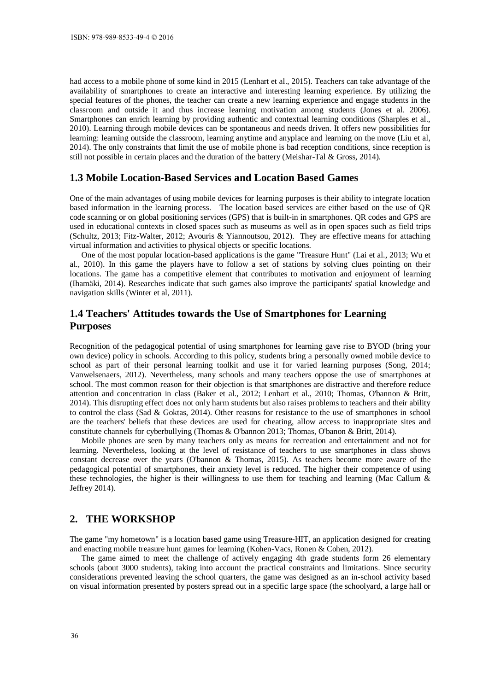had access to a mobile phone of some kind in 2015 (Lenhart et al., 2015). Teachers can take advantage of the availability of smartphones to create an interactive and interesting learning experience. By utilizing the special features of the phones, the teacher can create a new learning experience and engage students in the classroom and outside it and thus increase learning motivation among students (Jones et al. 2006). Smartphones can enrich learning by providing authentic and contextual learning conditions (Sharples et al., 2010). Learning through mobile devices can be spontaneous and needs driven. It offers new possibilities for learning: learning outside the classroom, learning anytime and anyplace and learning on the move (Liu et al, 2014). The only constraints that limit the use of mobile phone is bad reception conditions, since reception is still not possible in certain places and the duration of the battery (Meishar-Tal & Gross, 2014).

## **1.3 Mobile Location-Based Services and Location Based Games**

One of the main advantages of using mobile devices for learning purposes is their ability to integrate location based information in the learning process. The location based services are either based on the use of QR code scanning or on global positioning services (GPS) that is built-in in smartphones. QR codes and GPS are used in educational contexts in closed spaces such as museums as well as in open spaces such as field trips (Schultz, 2013; Fitz-Walter, 2012; Avouris & Yiannoutsou, 2012). They are effective means for attaching virtual information and activities to physical objects or specific locations.

One of the most popular location-based applications is the game "Treasure Hunt" (Lai et al., 2013; Wu et al., 2010). In this game the players have to follow a set of stations by solving clues pointing on their locations. The game has a competitive element that contributes to motivation and enjoyment of learning (Ihamäki, 2014). Researches indicate that such games also improve the participants' spatial knowledge and navigation skills (Winter et al, 2011).

# **1.4 Teachers' Attitudes towards the Use of Smartphones for Learning Purposes**

Recognition of the pedagogical potential of using smartphones for learning gave rise to BYOD (bring your own device) policy in schools. According to this policy, students bring a personally owned mobile device to school as part of their personal learning toolkit and use it for varied learning purposes (Song, 2014; Vanwelsenaers, 2012). Nevertheless, many schools and many teachers oppose the use of smartphones at school. The most common reason for their objection is that smartphones are distractive and therefore reduce attention and concentration in class (Baker et al., 2012; Lenhart et al., 2010; Thomas, O'bannon & Britt, 2014). This disrupting effect does not only harm students but also raises problems to teachers and their ability to control the class (Sad & Goktas, 2014). Other reasons for resistance to the use of smartphones in school are the teachers' beliefs that these devices are used for cheating, allow access to inappropriate sites and constitute channels for cyberbullying (Thomas & O'bannon 2013; Thomas, O'banon & Britt, 2014).

Mobile phones are seen by many teachers only as means for recreation and entertainment and not for learning. Nevertheless, looking at the level of resistance of teachers to use smartphones in class shows constant decrease over the years (O'bannon & Thomas, 2015). As teachers become more aware of the pedagogical potential of smartphones, their anxiety level is reduced. The higher their competence of using these technologies, the higher is their willingness to use them for teaching and learning (Mac Callum & Jeffrey 2014).

#### **2. THE WORKSHOP**

The game "my hometown" is a location based game using Treasure-HIT, an application designed for creating and enacting mobile treasure hunt games for learning (Kohen-Vacs, Ronen & Cohen, 2012).

The game aimed to meet the challenge of actively engaging 4th grade students form 26 elementary schools (about 3000 students), taking into account the practical constraints and limitations. Since security considerations prevented leaving the school quarters, the game was designed as an in-school activity based on visual information presented by posters spread out in a specific large space (the schoolyard, a large hall or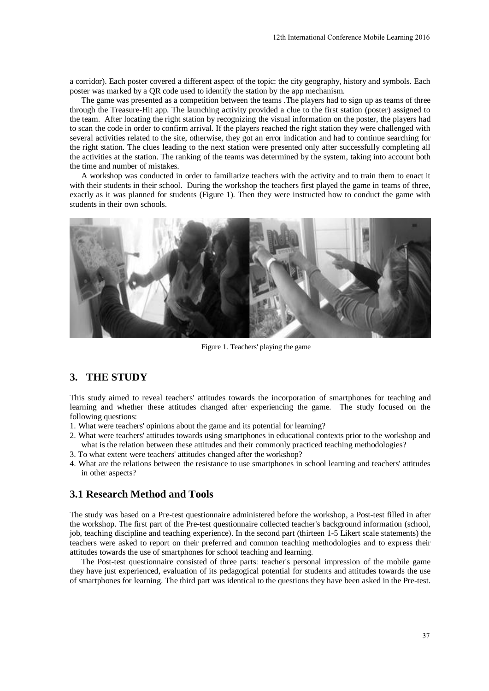a corridor). Each poster covered a different aspect of the topic: the city geography, history and symbols. Each poster was marked by a QR code used to identify the station by the app mechanism.

The game was presented as a competition between the teams .The players had to sign up as teams of three through the Treasure-Hit app. The launching activity provided a clue to the first station (poster) assigned to the team. After locating the right station by recognizing the visual information on the poster, the players had to scan the code in order to confirm arrival. If the players reached the right station they were challenged with several activities related to the site, otherwise, they got an error indication and had to continue searching for the right station. The clues leading to the next station were presented only after successfully completing all the activities at the station. The ranking of the teams was determined by the system, taking into account both the time and number of mistakes.

A workshop was conducted in order to familiarize teachers with the activity and to train them to enact it with their students in their school. During the workshop the teachers first played the game in teams of three, exactly as it was planned for students (Figure 1). Then they were instructed how to conduct the game with students in their own schools.



Figure 1. Teachers' playing the game

# **3. THE STUDY**

This study aimed to reveal teachers' attitudes towards the incorporation of smartphones for teaching and learning and whether these attitudes changed after experiencing the game. The study focused on the following questions:

- 1. What were teachers' opinions about the game and its potential for learning?
- 2. What were teachers' attitudes towards using smartphones in educational contexts prior to the workshop and what is the relation between these attitudes and their commonly practiced teaching methodologies?
- 3. To what extent were teachers' attitudes changed after the workshop?
- 4. What are the relations between the resistance to use smartphones in school learning and teachers' attitudes in other aspects?

#### **3.1 Research Method and Tools**

The study was based on a Pre-test questionnaire administered before the workshop, a Post-test filled in after the workshop. The first part of the Pre-test questionnaire collected teacher's background information (school, job, teaching discipline and teaching experience). In the second part (thirteen 1-5 Likert scale statements) the teachers were asked to report on their preferred and common teaching methodologies and to express their attitudes towards the use of smartphones for school teaching and learning.

The Post-test questionnaire consisted of three parts: teacher's personal impression of the mobile game they have just experienced, evaluation of its pedagogical potential for students and attitudes towards the use of smartphones for learning. The third part was identical to the questions they have been asked in the Pre-test.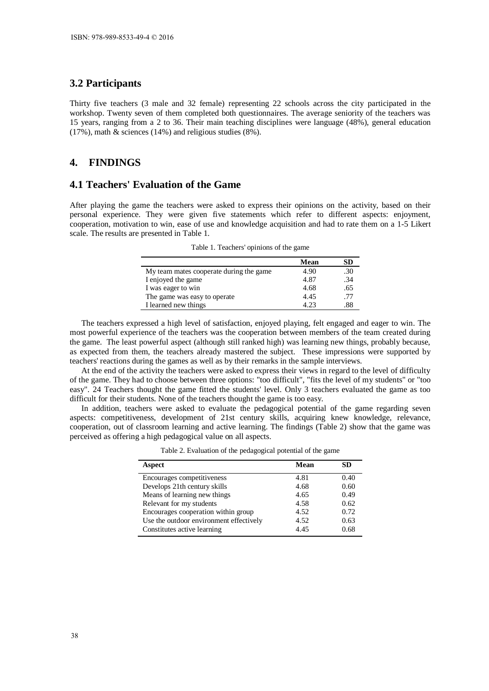#### **3.2 Participants**

Thirty five teachers (3 male and 32 female) representing 22 schools across the city participated in the workshop. Twenty seven of them completed both questionnaires. The average seniority of the teachers was 15 years, ranging from a 2 to 36. Their main teaching disciplines were language (48%), general education (17%), math & sciences (14%) and religious studies (8%).

#### **4. FINDINGS**

#### **4.1 Teachers' Evaluation of the Game**

After playing the game the teachers were asked to express their opinions on the activity, based on their personal experience. They were given five statements which refer to different aspects: enjoyment, cooperation, motivation to win, ease of use and knowledge acquisition and had to rate them on a 1-5 Likert scale. The results are presented in Table 1.

| Table 1. Teachers' opinions of the game |  |  |  |
|-----------------------------------------|--|--|--|
|-----------------------------------------|--|--|--|

|                                         | Mean | SD  |
|-----------------------------------------|------|-----|
| My team mates cooperate during the game | 4.90 | .30 |
| I enjoyed the game                      | 4.87 | .34 |
| I was eager to win                      | 4.68 | .65 |
| The game was easy to operate            | 4.45 | .77 |
| I learned new things                    | 4 23 | .88 |

The teachers expressed a high level of satisfaction, enjoyed playing, felt engaged and eager to win. The most powerful experience of the teachers was the cooperation between members of the team created during the game. The least powerful aspect (although still ranked high) was learning new things, probably because, as expected from them, the teachers already mastered the subject. These impressions were supported by teachers' reactions during the games as well as by their remarks in the sample interviews.

At the end of the activity the teachers were asked to express their views in regard to the level of difficulty of the game. They had to choose between three options: "too difficult", "fits the level of my students" or "too easy". 24 Teachers thought the game fitted the students' level. Only 3 teachers evaluated the game as too difficult for their students. None of the teachers thought the game is too easy.

In addition, teachers were asked to evaluate the pedagogical potential of the game regarding seven aspects: competitiveness, development of 21st century skills, acquiring knew knowledge, relevance, cooperation, out of classroom learning and active learning. The findings (Table 2) show that the game was perceived as offering a high pedagogical value on all aspects.

Table 2. Evaluation of the pedagogical potential of the game

| <b>Aspect</b>                           | Mean | SD.  |
|-----------------------------------------|------|------|
| Encourages competitiveness              | 4.81 | 0.40 |
| Develops 21th century skills            | 4.68 | 0.60 |
| Means of learning new things            | 4.65 | 0.49 |
| Relevant for my students                | 4.58 | 0.62 |
| Encourages cooperation within group     | 4.52 | 0.72 |
| Use the outdoor environment effectively | 4.52 | 0.63 |
| Constitutes active learning             | 4.45 | 0.68 |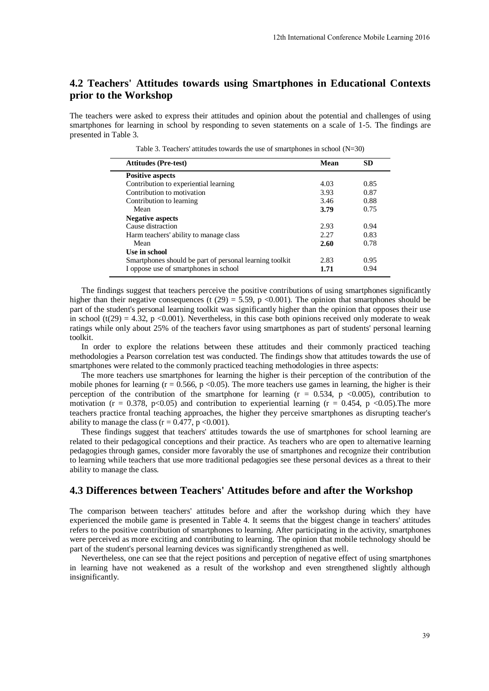# **4.2 Teachers' Attitudes towards using Smartphones in Educational Contexts prior to the Workshop**

The teachers were asked to express their attitudes and opinion about the potential and challenges of using smartphones for learning in school by responding to seven statements on a scale of 1-5. The findings are presented in Table 3.

Table 3. Teachers' attitudes towards the use of smartphones in school  $(N=30)$ 

| were asked to express their attitudes and opinion about the potential and challenges of using<br>for learning in school by responding to seven statements on a scale of 1-5. The findings are<br>Table 3.                                                                                                                                                                                                                                                                                                                                                                                                                                                                                                                                                                                                                                                                                                                                                                                                                                                                  |              |              |  |
|----------------------------------------------------------------------------------------------------------------------------------------------------------------------------------------------------------------------------------------------------------------------------------------------------------------------------------------------------------------------------------------------------------------------------------------------------------------------------------------------------------------------------------------------------------------------------------------------------------------------------------------------------------------------------------------------------------------------------------------------------------------------------------------------------------------------------------------------------------------------------------------------------------------------------------------------------------------------------------------------------------------------------------------------------------------------------|--------------|--------------|--|
| Table 3. Teachers' attitudes towards the use of smartphones in school $(N=30)$<br><b>Attitudes (Pre-test)</b>                                                                                                                                                                                                                                                                                                                                                                                                                                                                                                                                                                                                                                                                                                                                                                                                                                                                                                                                                              | Mean         | <b>SD</b>    |  |
| <b>Positive aspects</b>                                                                                                                                                                                                                                                                                                                                                                                                                                                                                                                                                                                                                                                                                                                                                                                                                                                                                                                                                                                                                                                    |              |              |  |
| Contribution to experiential learning                                                                                                                                                                                                                                                                                                                                                                                                                                                                                                                                                                                                                                                                                                                                                                                                                                                                                                                                                                                                                                      | 4.03         | 0.85         |  |
| Contribution to motivation                                                                                                                                                                                                                                                                                                                                                                                                                                                                                                                                                                                                                                                                                                                                                                                                                                                                                                                                                                                                                                                 | 3.93         | 0.87         |  |
| Contribution to learning<br>Mean                                                                                                                                                                                                                                                                                                                                                                                                                                                                                                                                                                                                                                                                                                                                                                                                                                                                                                                                                                                                                                           | 3.46<br>3.79 | 0.88<br>0.75 |  |
| <b>Negative aspects</b>                                                                                                                                                                                                                                                                                                                                                                                                                                                                                                                                                                                                                                                                                                                                                                                                                                                                                                                                                                                                                                                    |              |              |  |
| Cause distraction                                                                                                                                                                                                                                                                                                                                                                                                                                                                                                                                                                                                                                                                                                                                                                                                                                                                                                                                                                                                                                                          | 2.93         | 0.94         |  |
| Harm teachers' ability to manage class                                                                                                                                                                                                                                                                                                                                                                                                                                                                                                                                                                                                                                                                                                                                                                                                                                                                                                                                                                                                                                     | 2.27         | 0.83         |  |
| Mean                                                                                                                                                                                                                                                                                                                                                                                                                                                                                                                                                                                                                                                                                                                                                                                                                                                                                                                                                                                                                                                                       | 2.60         | 0.78         |  |
| Use in school                                                                                                                                                                                                                                                                                                                                                                                                                                                                                                                                                                                                                                                                                                                                                                                                                                                                                                                                                                                                                                                              |              |              |  |
| Smartphones should be part of personal learning toolkit<br>I oppose use of smartphones in school                                                                                                                                                                                                                                                                                                                                                                                                                                                                                                                                                                                                                                                                                                                                                                                                                                                                                                                                                                           | 2.83<br>1.71 | 0.95<br>0.94 |  |
| were related to the commonly practiced teaching methodologies in three aspects:<br>e teachers use smartphones for learning the higher is their perception of the contribution of the<br>es for learning ( $r = 0.566$ , $p \le 0.05$ ). The more teachers use games in learning, the higher is their<br>of the contribution of the smartphone for learning $(r = 0.534, p \lt 0.005)$ , contribution to<br>$r = 0.378$ , p<0.05) and contribution to experiential learning ( $r = 0.454$ , p <0.05). The more<br>ctice frontal teaching approaches, the higher they perceive smartphones as disrupting teacher's<br>nage the class $(r = 0.477, p < 0.001)$ .<br>oring suggest that teachers' attitudes towards the use of smartphones for school learning are<br>eir pedagogical conceptions and their practice. As teachers who are open to alternative learning<br>hrough games, consider more favorably the use of smartphones and recognize their contribution<br>while teachers that use more traditional pedagogies see these personal devices as a threat to their |              |              |  |
| nage the class.<br>ences between Teachers' Attitudes before and after the Workshop                                                                                                                                                                                                                                                                                                                                                                                                                                                                                                                                                                                                                                                                                                                                                                                                                                                                                                                                                                                         |              |              |  |
|                                                                                                                                                                                                                                                                                                                                                                                                                                                                                                                                                                                                                                                                                                                                                                                                                                                                                                                                                                                                                                                                            |              |              |  |
| ison between teachers' attitudes before and after the workshop during which they have                                                                                                                                                                                                                                                                                                                                                                                                                                                                                                                                                                                                                                                                                                                                                                                                                                                                                                                                                                                      |              |              |  |
| the mobile game is presented in Table 4. It seems that the biggest change in teachers' attitudes<br>positive contribution of smartphones to learning. After participating in the activity, smartphones<br>ed as more exciting and contributing to learning. The opinion that mobile technology should be<br>udent's personal learning devices was significantly strengthened as well.<br>less, one can see that the reject positions and perception of negative effect of using smartphones<br>have not weakened as a result of the workshop and even strengthened slightly although<br>ly.                                                                                                                                                                                                                                                                                                                                                                                                                                                                                |              |              |  |

The findings suggest that teachers perceive the positive contributions of using smartphones significantly higher than their negative consequences (t (29) = 5.59, p <0.001). The opinion that smartphones should be part of the student's personal learning toolkit was significantly higher than the opinion that opposes their use in school (t(29) = 4.32, p <0.001). Nevertheless, in this case both opinions received only moderate to weak ratings while only about 25% of the teachers favor using smartphones as part of students' personal learning toolkit.

In order to explore the relations between these attitudes and their commonly practiced teaching methodologies a Pearson correlation test was conducted. The findings show that attitudes towards the use of smartphones were related to the commonly practiced teaching methodologies in three aspects:

The more teachers use smartphones for learning the higher is their perception of the contribution of the mobile phones for learning ( $r = 0.566$ ,  $p < 0.05$ ). The more teachers use games in learning, the higher is their perception of the contribution of the smartphone for learning  $(r = 0.534, p \le 0.005)$ , contribution to motivation (r = 0.378, p<0.05) and contribution to experiential learning (r = 0.454, p <0.05). The more teachers practice frontal teaching approaches, the higher they perceive smartphones as disrupting teacher's ability to manage the class ( $r = 0.477$ ,  $p \le 0.001$ ).

These findings suggest that teachers' attitudes towards the use of smartphones for school learning are related to their pedagogical conceptions and their practice. As teachers who are open to alternative learning pedagogies through games, consider more favorably the use of smartphones and recognize their contribution to learning while teachers that use more traditional pedagogies see these personal devices as a threat to their ability to manage the class.

#### **4.3 Differences between Teachers' Attitudes before and after the Workshop**

The comparison between teachers' attitudes before and after the workshop during which they have experienced the mobile game is presented in Table 4. It seems that the biggest change in teachers' attitudes refers to the positive contribution of smartphones to learning. After participating in the activity, smartphones were perceived as more exciting and contributing to learning. The opinion that mobile technology should be part of the student's personal learning devices was significantly strengthened as well.

Nevertheless, one can see that the reject positions and perception of negative effect of using smartphones in learning have not weakened as a result of the workshop and even strengthened slightly although insignificantly.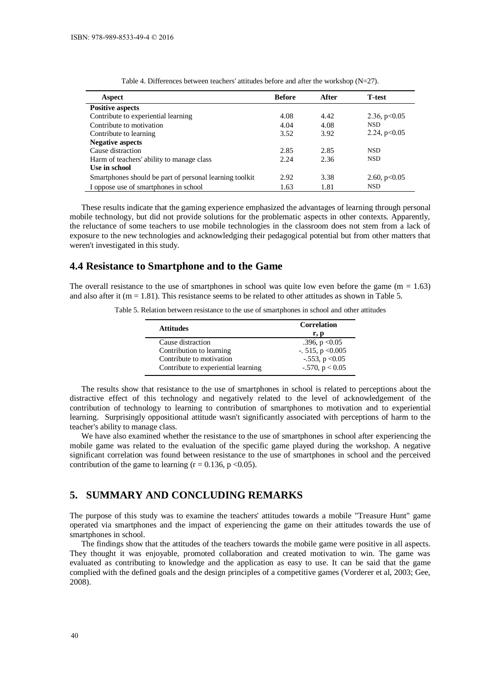| <b>Aspect</b>                                           | <b>Before</b> | After | <b>T</b> -test |
|---------------------------------------------------------|---------------|-------|----------------|
| <b>Positive aspects</b>                                 |               |       |                |
| Contribute to experiential learning                     | 4.08          | 4.42  | 2.36, $p<0.05$ |
| Contribute to motivation                                | 4.04          | 4.08  | <b>NSD</b>     |
| Contribute to learning                                  | 3.52          | 3.92  | 2.24, $p<0.05$ |
| <b>Negative aspects</b>                                 |               |       |                |
| Cause distraction                                       | 2.85          | 2.85  | <b>NSD</b>     |
| Harm of teachers' ability to manage class               | 2.24          | 2.36  | <b>NSD</b>     |
| Use in school                                           |               |       |                |
| Smartphones should be part of personal learning toolkit | 2.92          | 3.38  | 2.60, $p<0.05$ |
| I oppose use of smartphones in school                   | 1.63          | 1.81  | <b>NSD</b>     |

Table 4. Differences between teachers' attitudes before and after the workshop (N=27).

These results indicate that the gaming experience emphasized the advantages of learning through personal mobile technology, but did not provide solutions for the problematic aspects in other contexts. Apparently, the reluctance of some teachers to use mobile technologies in the classroom does not stem from a lack of exposure to the new technologies and acknowledging their pedagogical potential but from other matters that weren't investigated in this study.

#### **4.4 Resistance to Smartphone and to the Game**

The overall resistance to the use of smartphones in school was quite low even before the game  $(m = 1.63)$ and also after it ( $m = 1.81$ ). This resistance seems to be related to other attitudes as shown in Table 5.

Table 5. Relation between resistance to the use of smartphones in school and other attitudes

| <b>Attitudes</b>                    | <b>Correlation</b>    |  |
|-------------------------------------|-----------------------|--|
|                                     | r, p                  |  |
| Cause distraction                   | .396, $p < 0.05$      |  |
| Contribution to learning            | $-515$ , p < 0.005    |  |
| Contribute to motivation            | $-.553, p < 0.05$     |  |
| Contribute to experiential learning | $-0.570$ , p $< 0.05$ |  |

The results show that resistance to the use of smartphones in school is related to perceptions about the distractive effect of this technology and negatively related to the level of acknowledgement of the contribution of technology to learning to contribution of smartphones to motivation and to experiential learning. Surprisingly oppositional attitude wasn't significantly associated with perceptions of harm to the teacher's ability to manage class.

We have also examined whether the resistance to the use of smartphones in school after experiencing the mobile game was related to the evaluation of the specific game played during the workshop. A negative significant correlation was found between resistance to the use of smartphones in school and the perceived contribution of the game to learning ( $r = 0.136$ ,  $p < 0.05$ ).

#### **5. SUMMARY AND CONCLUDING REMARKS**

The purpose of this study was to examine the teachers' attitudes towards a mobile "Treasure Hunt" game operated via smartphones and the impact of experiencing the game on their attitudes towards the use of smartphones in school.

The findings show that the attitudes of the teachers towards the mobile game were positive in all aspects. They thought it was enjoyable, promoted collaboration and created motivation to win. The game was evaluated as contributing to knowledge and the application as easy to use. It can be said that the game complied with the defined goals and the design principles of a competitive games (Vorderer et al, 2003; Gee, 2008).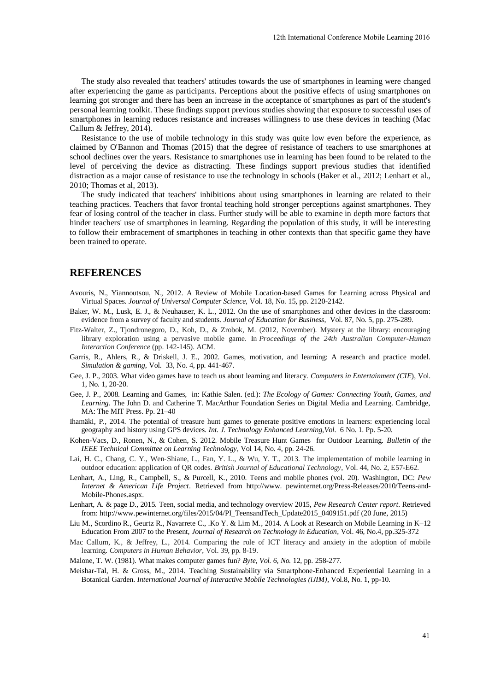The study also revealed that teachers' attitudes towards the use of smartphones in learning were changed after experiencing the game as participants. Perceptions about the positive effects of using smartphones on learning got stronger and there has been an increase in the acceptance of smartphones as part of the student's personal learning toolkit. These findings support previous studies showing that exposure to successful uses of smartphones in learning reduces resistance and increases willingness to use these devices in teaching (Mac Callum & Jeffrey, 2014).

Resistance to the use of mobile technology in this study was quite low even before the experience, as claimed by O'Bannon and Thomas (2015) that the degree of resistance of teachers to use smartphones at school declines over the years. Resistance to smartphones use in learning has been found to be related to the level of perceiving the device as distracting. These findings support previous studies that identified distraction as a major cause of resistance to use the technology in schools (Baker et al., 2012; Lenhart et al., 2010; Thomas et al, 2013).

The study indicated that teachers' inhibitions about using smartphones in learning are related to their teaching practices. Teachers that favor frontal teaching hold stronger perceptions against smartphones. They fear of losing control of the teacher in class. Further study will be able to examine in depth more factors that hinder teachers' use of smartphones in learning. Regarding the population of this study, it will be interesting to follow their embracement of smartphones in teaching in other contexts than that specific game they have been trained to operate. 12th International Conference Mobile Learning 2016<br>
ne use of smartphones in learning were change<br>
ture positive effects of using smartphones or<br>
ceptance of smartphones as part of the student's<br>
dins showing that cxposur

#### **REFERENCES**

- Avouris, N., Yiannoutsou, N., 2012. A Review of Mobile Location-based Games for Learning across Physical and Virtual Spaces. *Journal of Universal Computer Science,* Vol. 18, No. 15, pp. 2120-2142.
- Baker, W. M., Lusk, E. J., & Neuhauser, K. L., 2012. On the use of smartphones and other devices in the classroom: evidence from a survey of faculty and students. *Journal of Education for Business*, Vol. 87, No. 5, pp. 275-289.
- Fitz-Walter, Z., Tjondronegoro, D., Koh, D., & Zrobok, M. (2012, November). Mystery at the library: encouraging library exploration using a pervasive mobile game. In *Proceedings of the 24th Australian Computer-Human Interaction Conference* (pp. 142-145). ACM.
- Garris, R., Ahlers, R., & Driskell, J. E., 2002. Games, motivation, and learning: A research and practice model. *Simulation & gaming*, Vol. 33, No. 4, pp. 441-467.
- Gee, J. P., 2003. What video games have to teach us about learning and literacy. *Computers in Entertainment (CIE*), Vol. 1, No. 1, 20-20.
- Gee, J. P., 2008. Learning and Games, in: Kathie Salen. (ed.): *The Ecology of Games: Connecting Youth, Games, and Learning.* The John D. and Catherine T. MacArthur Foundation Series on Digital Media and Learning. Cambridge, MA: The MIT Press. Pp. 21–40
- Ihamäki, P., 2014. The potential of treasure hunt games to generate positive emotions in learners: experiencing local geography and history using GPS devices. *Int. J. Technology Enhanced Learning,Vol.* 6 No. 1. Pp. 5-20.
- Kohen-Vacs, D., Ronen, N., & Cohen, S. 2012. Mobile Treasure Hunt Games for Outdoor Learning. *Bulletin of the IEEE Technical Committee on Learning Technology*, Vol 14, No. 4, pp. 24-26.
- Lai, H. C., Chang, C. Y., Wen‐Shiane, L., Fan, Y. L., & Wu, Y. T., 2013. The implementation of mobile learning in outdoor education: application of QR codes. *British Journal of Educational Technology*, Vol. 44, No. 2, E57-E62.
- Lenhart, A., Ling, R., Campbell, S., & Purcell, K., 2010. Teens and mobile phones (vol. 20). Washington, DC: *Pew Internet & American Life Project*. Retrieved from http://www. pewinternet.org/Press-Releases/2010/Teens-and-Mobile-Phones.aspx.
- Lenhart, A. & page D., 2015. Teen, social media, and technology overview 2015, *Pew Research Center report*. Retrieved from: http://www.pewinternet.org/files/2015/04/PI\_TeensandTech\_Update2015\_0409151.pdf (20 June, 2015)
- Liu M., Scordino R., Geurtz R., Navarrete C., .Ko Y. & Lim M., 2014. A Look at Research on Mobile Learning in K–12 Education From 2007 to the Present, *Journal of Research on Technology in Education*, Vol. 46, No.4, pp.325-372
- Mac Callum, K., & Jeffrey, L., 2014. Comparing the role of ICT literacy and anxiety in the adoption of mobile learning. *Computers in Human Behavior*, Vol. 39, pp. 8-19.
- Malone, T. W. (1981). What makes computer games fun? *Byte, Vol. 6, No.* 12, pp. 258-277.
- Meishar-Tal, H. & Gross, M., 2014. Teaching Sustainability via Smartphone-Enhanced Experiential Learning in a Botanical Garden. *International Journal of Interactive Mobile Technologies (iJIM)*, Vol.8, No. 1, pp-10.